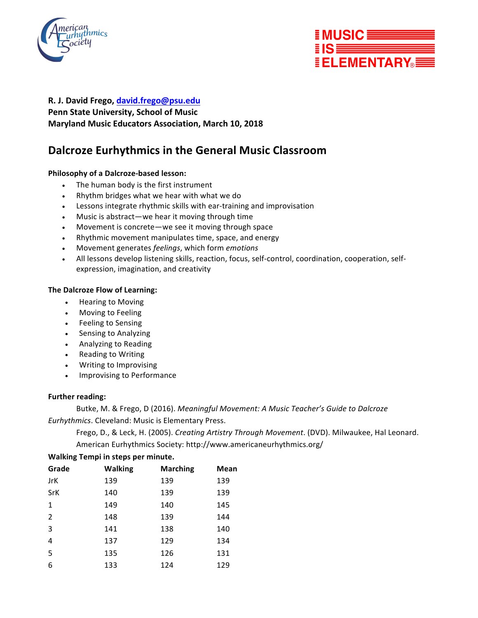



#### **R. J. David Frego, david.frego@psu.edu**

## **Penn State University, School of Music Maryland Music Educators Association, March 10, 2018**

# **Dalcroze Eurhythmics in the General Music Classroom**

#### **Philosophy of a Dalcroze-based lesson:**

- The human body is the first instrument
- Rhythm bridges what we hear with what we do
- Lessons integrate rhythmic skills with ear-training and improvisation
- Music is abstract—we hear it moving through time
- Movement is concrete—we see it moving through space
- Rhythmic movement manipulates time, space, and energy
- Movement generates *feelings*, which form *emotions*
- All lessons develop listening skills, reaction, focus, self-control, coordination, cooperation, selfexpression, imagination, and creativity

#### **The Dalcroze Flow of Learning:**

- Hearing to Moving
- Moving to Feeling
- Feeling to Sensing
- Sensing to Analyzing
- Analyzing to Reading
- Reading to Writing
- Writing to Improvising
- Improvising to Performance

#### **Further reading:**

Butke, M. & Frego, D (2016). *Meaningful Movement: A Music Teacher's Guide to Dalcroze Eurhythmics*. Cleveland: Music is Elementary Press.

Frego, D., & Leck, H. (2005). *Creating Artistry Through Movement*. (DVD). Milwaukee, Hal Leonard. American Eurhythmics Society: http://www.americaneurhythmics.org/

| Grade          | <b>Walking</b> | <b>Marching</b> | Mean |
|----------------|----------------|-----------------|------|
| JrK            | 139            | 139             | 139  |
| SrK            | 140            | 139             | 139  |
| $\mathbf{1}$   | 149            | 140             | 145  |
| $\overline{2}$ | 148            | 139             | 144  |
| 3              | 141            | 138             | 140  |
| 4              | 137            | 129             | 134  |
| 5              | 135            | 126             | 131  |
| 6              | 133            | 124             | 129  |

### **Walking Tempi in steps per minute.**